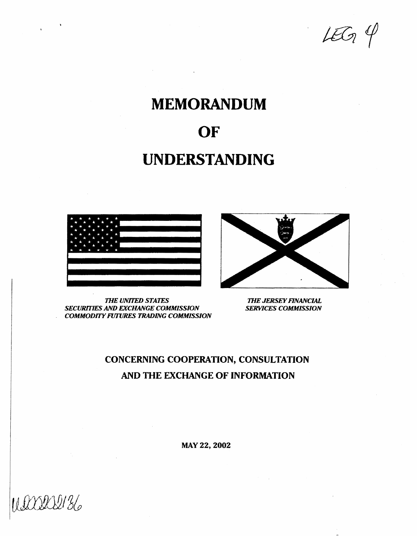$459$ 

# MEMORANDUM

# OF

# UNDERSTANDING



*THE UNrrED STATES SECURFI'IES AND EXCHANGE COMMISSION COMMODITY FlffURES TRADING COMMISSION* 



*THE JERSEY RNANCIAL SERVICES COMMISSION* 

# CONCERNING COOPERATION, CONSULTATION AND THE EXCHANGE OF INFORMATION

MAY22, 2002

UIXXXV136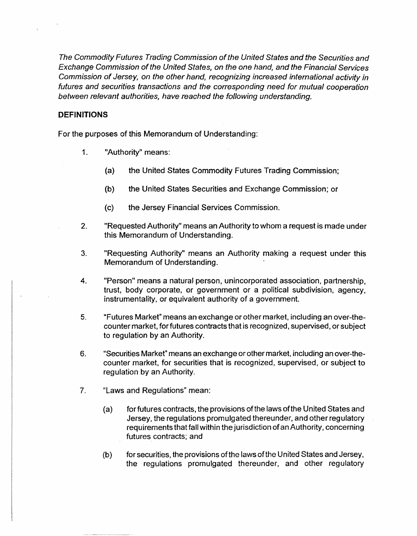The Commodity Futures Trading Commission of the United States and the Securities and Exchange Commission of the United States, on the one hand, and the Financial Services Commission of Jersey, on the other hand, recognizing increased international activity in futures and securities transactions and the corresponding need for mutual cooperation between relevant authorities, have reached the following understanding.

### DEFINITIONS

For the purposes of this Memorandum of Understanding:

- 1. "Authority" means:
	- (a) the United States Commodity Futures Trading Commission;
	- (b) the United States Securities and Exchange Commission: or
	- (c) the Jersey Financial Services Commission.
- 2. "Requested Authority" means an Authority to whom a request is made under this Memorandum of Understanding.
- 3. "Requesting Authority" means an Authority making a request under this Memorandum of Understanding.
- 4. "Person" means a natural person, unincorporated association, partnership, trust, body corporate, or government or a political subdivision, agency, instrumentality, or equivalent authority of a government.
- 5. "Futures Market" means an exchange or other market, including an over-thecountermarket. for futures contracts that is recognized, supervised, or subject to regulation by an Authority.
- 6. "Securities Market" means an exchange or other market, including an over-thecounter market, for securities that is recognized, supervised, or subject to regulation by an Authority.
- 7. "Laws and Regulations" mean:
	- (a) for futures contracts, the provisions of the laws ofthe United States and Jersey, the regulations promulgated thereunder, and other regulatory requirements that fall within the jurisdiction of an Authority, concerning futures contracts; and
	- (b) for securities, the provisions of the laws of the United States and Jersey, the regulations promulgated thereunder, and other regulatory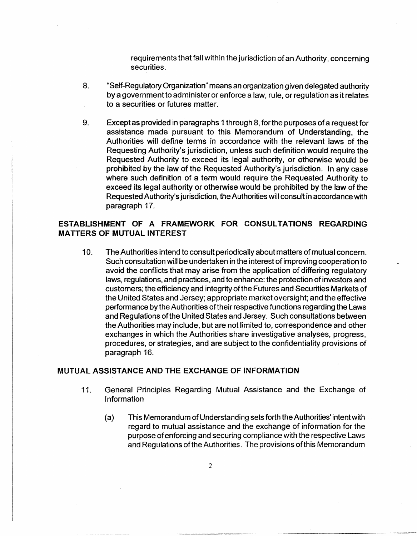requirements that fall within the jurisdiction of an Authority, concerning securities.

- 8. "Self-Regulatory Organization" means an organization given delegated authority by a government to administer or enforce a law, rule, or regulation as it relates to a securities or futures matter.
- 9. Except as provided in paragraphs 1 through 8, for the purposes of a request for assistance made pursuant to this Memorandum of Understanding, the Authorities will define terms in accordance with the relevant laws of the Requesting Authority's jurisdiction, unless such definition would require the Requested Authority to exceed its legal authority, or otherwise would be prohibited by the law of the Requested Authority's jurisdiction. In any case where such definition of a term would require the Requested Authority to exceed its legal authority or otherwise would be prohibited by the law of the Requested Authority's jurisdiction, the Authorities will consult in accordance with paragraph 17.

## ESTABLISHMENT OF A FRAMEWORK FOR CONSULTATIONS REGARDING MATTERS OF MUTUAL INTEREST

10. The Authorities intend to consult periodically about matters of mutual concern. Such consultation will be undertaken in the interest of improving cooperation to avoid the conflicts that may arise from the application of differing regulatory laws, regulations, and practices, and to enhance: the protection of investors and customers; the efficiency and integrity of the Futures and Securities Markets of the United States and Jersey; appropriate market oversight; and the effective performance by the Authorities of their respective functions regarding the Laws and Regulations of the United States and Jersey. Such consultations between the Authorities may include, but are not limited to, correspondence and other exchanges in which the Authorities share investigative analyses, progress, procedures, or strategies, and are subject to the confidentiality provisions of paragraph 16.

### MUTUAL ASSISTANCE AND THE EXCHANGE OF INFORMATION

- 11. General Principles Regarding Mutual Assistance and the Exchange of Information
	- (a) This Memorandum of Understanding sets forth the Authorities' intent with regard to mutual assistance and the exchange of information for the purpose of enforcing and securing compliance with the respective Laws and Regulations of the Authorities. The provisions ofthis Memorandum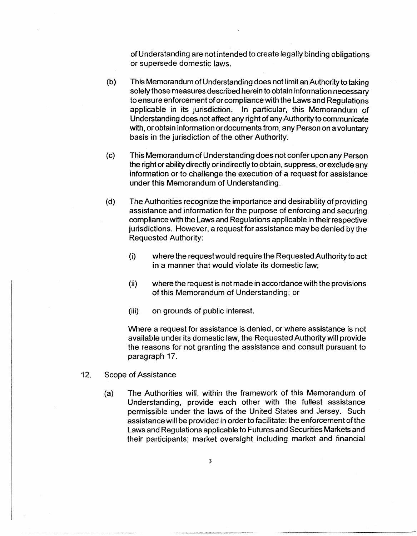of Understanding are not intended to create legally binding obligations or supersede domestic laws.

- (b) This Memorandum of Understanding does not limit an Authority to taking solely those measures described herein to obtain information necessary to ensure enforcement of or compliance with the Laws and Regulations applicable in its jurisdiction. In particular, this Memorandum of Understanding does not affect any right of any Authority to communicate with, or obtain information or documents from, any Person on a voluntary basis in the jurisdiction of the other Authority.
- (c) This Memorandum of Understanding does not confer upon any Person the right or ability directly or indirectly to obtain, suppress, or exclude any information or to challenge the execution of a request for assistance under this Memorandum of Understanding.
- (d) The Authorities recognize the importance and desirability of providing assistance and information for the purpose of enforcing and securing compliance with the Laws and Regulations applicable in their respective jurisdictions. However, a request for assistance may be denied by the Requested Authority:
	- (i) where the request would require the Requested Authority to act in a manner that would violate its domestic law;
	- (ii) where the request is not made in accordance with the provisions of this Memorandum of Understanding; or
	- (iii) on grounds of public interest.

Where a request for assistance is denied, or where assistance is not available under its domestic law, the Requested Authority will provide the reasons for not granting the assistance and consult pursuant to paragraph 17.

- 12. Scope of Assistance
	- (a) The Authorities will, within the framework of this Memorandum of Understanding, provide each other with the fullest assistance permissible under the Jaws of the United States and Jersey. Such assistance will be provided in order to facilitate: the enforcement of the Laws and Regulations applicable to Futures and Securities Markets and their participants; market oversight including market and financial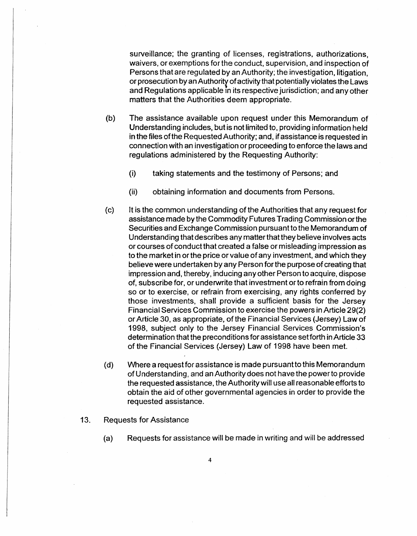surveillance; the granting of licenses, registrations, authorizations, waivers, or exemptions for the conduct, supervision, and inspection of Persons that are regulated by an Authority; the investigation, litigation, or prosecution by an Authority of activity that potentially violates the Laws and Regulations applicable in its respective jurisdiction; and any other matters that the Authorities deem appropriate.

- (b) The assistance available upon request under this Memorandum of Understanding includes, but is not limited to, providing information held in the files ofthe Requested Authority; and, if assistance is requested in connection with an investigation or proceeding to enforce the laws and regulations administered by the Requesting Authority:
	- (i) taking statements and the testimony of Persons; and
	- (ii) obtaining information and documents from Persons.
- (c) It is the common understanding of the Authorities that any request for assistance made by the Commodity Futures Trading Commission or the Securities and Exchange Commission pursuant to the Memorandum of Understanding that describes any matter that they believe involves acts or courses of conduct that created a false or misleading impression as to the market in or the price or value of any investment, and which they believe were undertaken by any Person for the purpose of creating that impression and, thereby, inducing any other Person to acquire, dispose of, subscribe for, or underwrite that investment or to refrain from doing so or to exercise, or refrain from exercising, any rights conferred by those investments, shall provide a sufficient basis for the Jersey Financial Services Commission to exercise the powers in Article 29(2) or Article 30, as appropriate, of the Financial Services (Jersey) Law of 1998, subject only to the Jersey Financial Services Commission's determination that the preconditions for assistance set forth in Article 33 of the Financial Services (Jersey) Law of 1998 have been met.
- (d) Where a request for assistance is made pursuant to this Memorandum of Understanding, and an Authority does not have the power to provide the requested assistance, the Authority will use all reasonable efforts to obtain the aid of other governmental agencies in order to provide the requested assistance.
- 13. Requests for Assistance
	- (a) Requests for assistance will be made in writing and will be addressed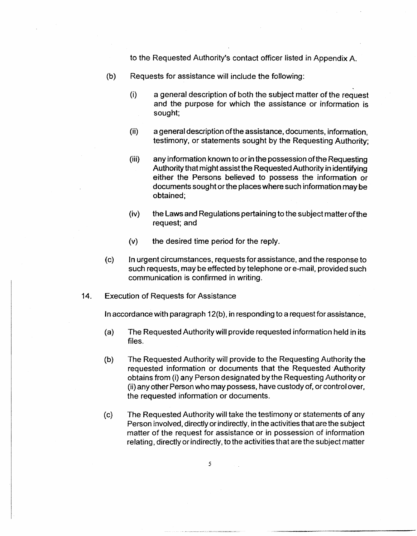to the Requested Authority's contact officer listed in Appendix A.

- (b) Requests for assistance will include the following:
	- (i) a general description of both the subject matter of the request and the purpose for which the assistance or information is sought;
	- (ii) a general description ofthe assistance, documents, information, testimony, or statements sought by the Requesting Authority;
	- (iii) any information known to or in the possession of the Requesting Authority that might assist the Requested Authority in identifying either the Persons believed to possess the information or documents sought or the places where such information may be obtained;
	- (iv) the Laws and Regulations pertaining to the subject matterofthe request; and
	- (v) the desired time period for the reply.
- (c) In urgent circumstances, requests for assistance, and the response to such requests, may be effected by telephone or e-mail, provided such communication is confirmed in writing.
- 14. Execution of Requests for Assistance

In accordance with paragraph 12(b), in responding to a request for assistance,

- (a) The Requested Authority will provide requested information held in its files.
- (b) The Requested Authority will provide to the Requesting Authority the requested information or documents that the Requested ·Authority obtains from (i) any Person designated by the Requesting Authority or (ii) any other Person who may possess, have custody of, or control over, the requested information or documents.
- (c) The Requested Authority will take the testimony or statements of any Person involved, directly or indirectly, in the activities that are the subject matter of the request for assistance or in possession of information relating, directly or indirectly, to the activities that are the subject matter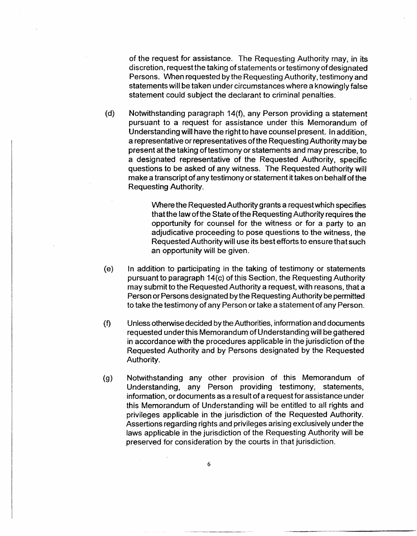of the request for assistance. The Requesting Authority may, in its discretion, request the taking of statements or testimony of designated Persons. When requested by the Requesting Authority, testimony and statements will be taken under circumstances where a knowingly false statement could subject the declarant to criminal penalties.

(d) Notwithstanding paragraph 14(f), any Person providing a statement pursuant to a request for assistance under this Memorandum of Understanding will have the right to have counsel present. In addition, a representative or representatives of the Requesting Authority may be present at the taking of testimony or statements and may prescribe, to a designated representative of the Requested Authority, specific questions to be asked of any witness. The Requested Authority will make a transcript of any testimony or statement it takes on behalf of the Requesting Authority.

> Where the Requested Authority grants a request which specifies that the law of the State of the Requesting Authority requires the opportunity for counsel for the witness or for a party to an adjudicative proceeding to pose questions to the witness, the Requested Authority will use its best efforts to ensure that such an opportunity will be given.

- (e) In addition to participating in the taking of testimony or statements pursuant to paragraph 14(c) of this Section, the Requesting Authority may submit to the Requested Authority a request, with reasons, that a Person or Persons designated by the Requesting Authority be permitted to take the testimony of any Person or take a statement of any Person.
- (f) Unless otherwise decided by the Authorities, information and documents requested under this Memorandum of Understanding will be gathered in accordance with the procedures applicable in the jurisdiction of the Requested Authority and by Persons designated by the Requested Authority.
- (g) Notwithstanding any other provision of this Memorandum of Understanding, any Person providing testimony, statements, information, or documents as a result of a request for assistance under this Memorandum of Understanding will be entitled to all rights and privileges applicable in the jurisdiction of the Requested Authority. Assertions regarding rights and privileges arising exclusively under the laws applicable in the jurisdiction of the Requesting Authority will be preserved for consideration by the courts in that jurisdiction.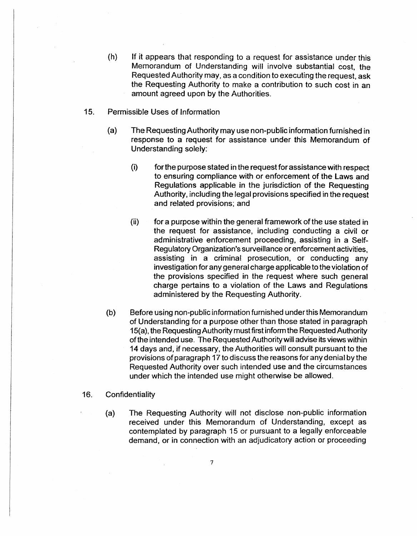- (h) If it appears that responding to a request for assistance under this Memorandum of Understanding will involve substantial cost. the Requested Authority may, as a condition to executing the request, ask the Requesting Authority to make a contribution to such cost in an amount agreed upon by the Authorities.
- 15. Permissible Uses of Information
	- (a) The Requesting Authority may use non-public information furnished in response to a request for assistance under this Memorandum of Understanding solely:
		- (i) for the purpose stated in the requestforassistancewith respect to ensuring compliance with or enforcement of the Laws and Regulations applicable in the jurisdiction of the Requesting Authority, including the legal provisions specified in the request and related provisions; and
		- (ii) for a purpose within the general framework of the use stated in the request for assistance, including conducting a civil or administrative enforcement proceeding, assisting in a Self-Regulatory Organization's surveillance or enforcement activities. assisting in a criminal prosecution, or conducting any investigation for any general charge applicable to the violation of the provisions specified in the request where such general charge pertains to a violation of the Laws and Regulations administered by the Requesting Authority.
	- (b) Before using non-public information furnished under this Memorandum of Understanding for a purpose other than those stated in paragraph 15(a), the Requesting Authority must first inform the Requested Authority of the intended use. The Requested Authority will advise its views within 14 days and, if necessary, the Authorities will consult pursuant to the provisions of paragraph 17 to discuss the reasons for any denial by the Requested Authority over such intended use and the circumstances under which the intended use might otherwise be allowed.

#### 16. Confidentiality

(a) The Requesting Authority will not disclose non-public information received under this Memorandum of Understanding, except as contemplated by paragraph 15 or pursuant to a legally enforceable demand, or in connection with an adjudicatory action or proceeding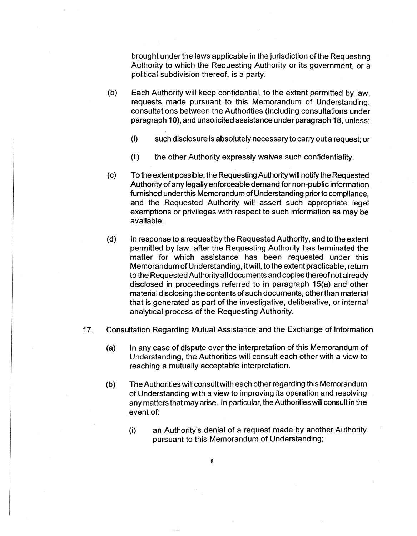brought under the laws applicable in the jurisdiction of the Requesting Authority to which the Requesting Authority or its government, or a political subdivision thereof, is a party.

- (b) Each Authority will keep confidential, to the extent permitted by law, requests made pursuant to this Memorandum of Understanding, consultations between the Authorities (including consultations under paragraph 10), and unsolicited assistance under paragraph 18, unless:
	- (i) such disclosure is absolutely necessary to carry out a request; or
	- (ii) the other Authority expressly waives such confidentiality.
- (c) Totheextentpossible, the Requesting Authority will notify the Requested Authority of any legally enforceable demand for non-public information furnished under this Memorandum of Understanding prior to compliance, and the Requested Authority will assert such appropriate legal exemptions or privileges with respect to such information as may be available.
- (d) In response to a request by the Requested Authority, and to the extent permitted by Jaw, after the Requesting Authority has terminated the matter for which assistance has been requested under this Memorandum of Understanding, it will, to the extent practicable, return to the Requested Authority all documents and copies thereof not already disclosed in proceedings referred to in paragraph 15(a) and other material disclosing the contents of such documents, other than material that is generated as part of the investigative, deliberative, or internal analytical process of the Requesting Authority.
- 17. Consultation Regarding Mutual Assistance and the Exchange of Information
	- (a) In any case of dispute over the interpretation of this Memorandum of Understanding, the Authorities will consult each other with a view to reaching a mutually acceptable interpretation.
	- (b) The Authorities will consult with each other regarding this Memorandum of Understanding with a view to improving its operation and resolving any matters that may arise. In particular, the Authorities will consult in the event of:
		- (i) an Authority's denial of a request made by another Authority pursuant to this Memorandum of Understanding;

8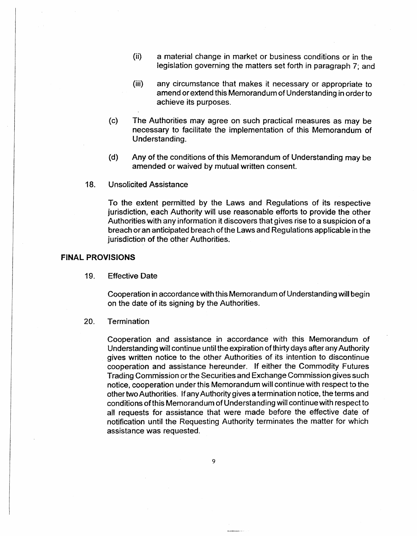- (ii) a material change in market or business conditions or in the legislation governing the matters set forth in paragraph 7; and
- (iii) any circumstance that makes it necessary or appropriate to amend or extend this Memorandum of Understanding in order to achieve its purposes.
- (c) The Authorities may agree on such practical measures as may be necessary to facilitate the implementation of this Memorandum of Understanding.
- (d) Any of the conditions of this Memorandum of Understanding may be amended or waived by mutual written consent.
- 18. Unsolicited Assistance

To the extent permitted by the Laws and Regulations of its respective jurisdiction, each Authority will use reasonable efforts to provide the other Authorities with any information it discovers that gives rise to a suspicion of a breach or an anticipated breach of the Laws and Regulations applicable in the jurisdiction of the other Authorities.

### FINAL PROVISIONS

19. Effective Date

Cooperation in accordance with this Memorandum of Understanding will begin on the date of its signing by the Authorities.

### 20. Termination

Cooperation and assistance in accordance with this Memorandum of Understanding will continue until the expiration of thirty days after any Authority gives written notice to the other Authorities of its intention to discontinue cooperation and assistance hereunder. If either the Commodity Futures Trading Commission or the Securities and Exchange Commission gives such notice, cooperation under this Memorandum will continue with respect to the other two Authorities. If any Authority gives a termination notice. the terms and conditions of this Memorandum of Understanding will continue with respect to all requests for assistance that were made before the effective date of notification until the Requesting Authority terminates the matter for which assistance was requested.

9